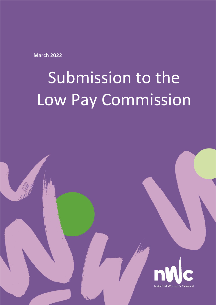**March 2022**

# Submission to the Low Pay Commission

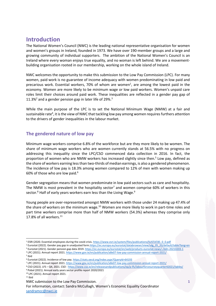# **Introduction**

The National Women's Council (NWC) is the leading national representative organisation for women and women's groups in Ireland, founded in 1973. We have over 190-member groups and a large and growing community of individual supporters. The ambition of the National Women's Council is an Ireland where every woman enjoys true equality, and no woman is left behind. We are a movementbuilding organisation rooted in our membership, working on the whole island of Ireland.

NWC welcomes the opportunity to make this submission to the Low Pay Commission (LPC). For many women, paid work is no guarantee of income adequacy with women predominating in low paid and precarious work. Essential workers, 70% of whom are women<sup>1</sup>, are among the lowest paid in the economy. Women are more likely to be minimum wage or low paid workers. Women's unpaid care roles limit their choices around paid work. These inequalities are reflected in a gender pay gap of 11.3%<sup>2</sup> and a gender pension gap in later life of 29%.<sup>3</sup>

While the main purpose of the LPC is to set the National Minimum Wage (NMW) at a fair and sustainable rate $^4$ , it is the view of NWC that tackling low pay among women requires furthers attention to the drivers of gender inequalities in the labour market.

# **The gendered nature of low pay**

Minimum wage workers comprise 6.8% of the workforce but are they more likely to be women. The share of minimum wage workers who are women currently stands at 56.5% with no progress on addressing this inequality since the LPC/CSO commenced data collection in 2016. In fact, the proportion of women who are NMW workers has increased slightly since then.<sup>5</sup> Low pay, defined as the share of workers earning less than two-thirds of median earnings, is also a gendered phenomenon. The incidence of low pay is 18.3% among women compared to 12% of men with women making up 60% of those who are low paid.<sup>6</sup>

Gender segregation means that women predominate in low paid sectors such as care and hospitality. The NMW is most prevalent in the hospitality sector<sup>7</sup> and women comprise 60% of workers in this sector.<sup>8</sup> Half of early years workers earn less than the Living Wage.<sup>9</sup>

Young people are over-represented amongst NMW workers with those under 24 making up 47.4% of the share of workers on the minimum wage.<sup>10</sup> Women are more likely to work in part-time roles and part time workers comprise more than half of NMW workers (54.3%) whereas they comprise only 17.8% of all workers.<sup>11</sup>

 $\overline{a}$ 

<sup>1</sup> ESRI (2020. Essential employees during the covid crisis[. https://www.esri.ie/system/files/publications/SUSTAT85\\_0\\_0.pdf](https://www.esri.ie/system/files/publications/SUSTAT85_0_0.pdf)

<sup>&</sup>lt;sup>2</sup> Eurostat (2022). Gender pay gap in unadjusted for[m.https://ec.europa.eu/eurostat/databrowser/view/sdg\\_05\\_20/default/table?lang=en](https://ec.europa.eu/eurostat/databrowser/view/sdg_05_20/default/table?lang=en) <sup>3</sup> Eurostat (2021). Gender pension gap data 2019[. https://ec.europa.eu/eurostat/en/web/products-eurostat-news/-/ddn-20210203-1](https://ec.europa.eu/eurostat/en/web/products-eurostat-news/-/ddn-20210203-1) <sup>4</sup> LPC (2021). Annual report 2021[. https://www.gov.ie/en/publication/a8e07-low-pay-commission-annual-report-2021/](https://www.gov.ie/en/publication/a8e07-low-pay-commission-annual-report-2021/)

<sup>5</sup> Ibid

<sup>6</sup> Eurostat (2022). Incidence of low pay[. https://stats.oecd.org/Index.aspx?QueryId=64193](https://stats.oecd.org/Index.aspx?QueryId=64193)

<sup>7</sup> LPC (2021). Annual report 2021[. https://www.gov.ie/en/publication/a8e07-low-pay-commission-annual-report-2021/](https://www.gov.ie/en/publication/a8e07-low-pay-commission-annual-report-2021/)

<sup>&</sup>lt;sup>8</sup> CSO (2022). LFS – Q4, 2021. CSO - <https://www.cso.ie/en/releasesandpublications/ep/p-lfs/labourforcesurveyquarter42021/tables/>

<sup>9</sup> Pobal (2021). Annual early years sector profile report 2020/2021

<sup>10</sup> LPC (2021). Annual report 2021.

 $11$  Ibid

NWC submission to the Low Pay Commission.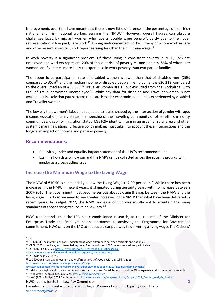Improvements over time have meant that there is now little difference in the percentage of non-Irish national and Irish national workers earning the NMW.<sup>12</sup> However, overall figures can obscure challenges faced by migrant women who face a 'double wage penalty', partly due to their over representation in low paid, care work.<sup>13</sup> Among undocumented workers, many of whom work in care and other essential sectors, 26% report earning less than the minimum wage.<sup>14</sup>

In work poverty is a significant problem. Of those living in consistent poverty in 2020, 15% are employed and workers represent 20% of those at risk of poverty.<sup>15</sup> Lone parents, 86% of whom are women, are five times more likely to experience in work poverty than two parent families.

The labour force participation rate of disabled women is lower than that of disabled men (26% compared to 35%)<sup>16</sup> and the median income of disabled people in employment is  $\epsilon$ 20,212, compared to the overall median of  $\epsilon$ 36,095.<sup>17</sup> Traveller women are all but excluded from the workplace, with 80% of Traveller women unemployed.<sup>18</sup> While pay data for disabled and Traveller women is not available, it is likely that pay patterns replicate broader economic inequalities experienced by disabled and Traveller women.

The low pay that women's labour is subjected to is also shaped by the intersection of gender with age, income, education, family status, membership of the Travelling community or other ethnic minority communities, disability, migration status, LGBTQI+ identity, living in an urban or rural area and other systemic marginalisations. Effective policy making must take into account these intersections and the long-term impact on income and pension poverty.

## **Recommendations:**

- Publish a gender and equality impact statement of the LPC's recommendations
- Examine how data on low pay and the NMW can be collected across the equality grounds with gender as a cross-cutting issue

# **Increase the Minimum Wage to the Living Wage**

The NMW of €10.50 is substantially below the Living Wage €12.90 per hour. <sup>19</sup> While there has been increases in the NMW in recent years, it stagnated during austerity years with no increase between 2007-2015. The government must become serious about closing the gap between the NMW and the living wage. To do so we need to see greater increases in the NMW than what have been delivered in recent years. In Budget 2022, the NMW increase of 30c was insufficient to maintain the living standards of those trying to survive on low pay.<sup>20</sup>

NWC understands that the LPC has commissioned research, at the request of the Minister for Enterprise, Trade and Employment on approaches to achieving the Programme for Government commitment. NWC calls on the LPC to set out a clear pathway to delivering a living wage. The Citizens'

 $\overline{a}$  $12$  Ibid

<sup>&</sup>lt;sup>13</sup> ILO (2020). The migrant pay gap: Understanding wage differences between migrants and nationals

<sup>&</sup>lt;sup>14</sup> MRCI (2020). Live here, work here, belong here. A survey of over 1,000 undocumented people in Ireland

<sup>15</sup> CSO (2021). SIlC 2020[. https://www.cso.ie/en/releasesandpublications/ep/p-](https://www.cso.ie/en/releasesandpublications/ep/p-silc/surveyonincomeandlivingconditionssilc2020/povertyanddeprivation/)

[silc/surveyonincomeandlivingconditionssilc2020/povertyanddeprivation/](https://www.cso.ie/en/releasesandpublications/ep/p-silc/surveyonincomeandlivingconditionssilc2020/povertyanddeprivation/)

<sup>16</sup> CSO (2017). Census 2016.

<sup>&</sup>lt;sup>17</sup> CSO (2020). Income, Employment and Welfare Analysis of People with a Disability 2019. [https://www.cso.ie/en/releasesandpublications/fp/fp-](https://www.cso.ie/en/releasesandpublications/fp/fp-iewad/incomeemploymentandwelfareanalysisofpeoplewithadisability2019/incomeandemployment/)

[iewad/incomeemploymentandwelfareanalysisofpeoplewithadisability2019/incomeandemployment/](https://www.cso.ie/en/releasesandpublications/fp/fp-iewad/incomeemploymentandwelfareanalysisofpeoplewithadisability2019/incomeandemployment/)

<sup>18</sup> Irish Human Rights and Equality Commission and Economic and Social Research Institute. Who experiences discrimination in Ireland? <sup>19</sup> Living Wage Technical Group (2022)[. https://www.livingwage.ie/](https://www.livingwage.ie/)

NWC submission to the Low Pay Commission. <sup>20</sup> NWCI (2021). Budget 2022 Gender Analysis[. https://www.nwci.ie/images/uploads/Budget\\_2022\\_Gender\\_analysis\\_final.pdf](https://www.nwci.ie/images/uploads/Budget_2022_Gender_analysis_final.pdf)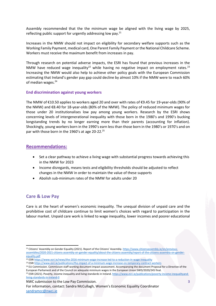Assembly recommended that the the minimum wage be aligned with the living wage by 2025, reflecting public support for urgently addressing low pay.<sup>21</sup>

Increases in the NMW should not impact on eligibility for secondary welfare supports such as the Working Family Payment, medical card, One Parent Family Payment or the National Childcare Scheme. Workers must receive the maximum benefit from increases in pay.

Through research on potential adverse impacts, the ESRI has found that previous increases in the NMW have reduced wage inequality<sup>22</sup> while having no negative impact on employment rates.<sup>23</sup> Increasing the NMW would also help to achieve other policy goals with the European Commission estimating that Ireland's gender pay gap could decline by almost 10% if the NMW were to reach 60% of median wages. $24$ 

#### **End discrimination against young workers**

The NMW of €10.50 applies to workers aged 20 and over with rates of €9.45 for 19-year-olds (90% of the NMW) and €8.40 for 18-year-olds (80% of the NMW). The policy of reduced minimum wages for those under 20 institutionalises low pay among young workers. Research by the ESRI shows concerning levels of intergenerational inequality with those born in the 1980's and 1990's bucking longstanding trends by no longer earning more than their parents (accounting for inflation). Shockingly, young workers born in the 1990's earn less than those born in the 1980's or 1970's and on par with those born in the 1960's at age 20-22.<sup>25</sup>

#### **Recommendations:**

- Set a clear pathway to achieve a living wage with substantial progress towards achieving this in the NMW for 2023
- Income disregards, means tests and eligibility thresholds should be adjusted to reflect changes in the NMW in order to maintain the value of these supports
- Abolish sub-minimum rates of the NMW for adults under 20

### **Care & Low Pay**

 $\overline{a}$ 

Care is at the heart of women's economic inequality. The unequal division of unpaid care and the prohibitive cost of childcare continue to limit women's choices with regard to participation in the labour market. Unpaid care work is linked to wage inequality, lower incomes and poorer educational

NWC submission to the Low Pay Commission.

<sup>&</sup>lt;sup>21</sup> Citizens' Assembly on Gender Equality (2021). Report of the Citizens' Assembly. [https://www.citizensassembly.ie/en/previous](https://www.citizensassembly.ie/en/previous-assemblies/2020-2021-citizens-assembly-on-gender-equality/about-the-citizens-assembly/report-of-the-citizens-assembly-on-gender-equality.pdf)[assemblies/2020-2021-citizens-assembly-on-gender-equality/about-the-citizens-assembly/report-of-the-citizens-assembly-on-gender](https://www.citizensassembly.ie/en/previous-assemblies/2020-2021-citizens-assembly-on-gender-equality/about-the-citizens-assembly/report-of-the-citizens-assembly-on-gender-equality.pdf)[equality.pdf](https://www.citizensassembly.ie/en/previous-assemblies/2020-2021-citizens-assembly-on-gender-equality/about-the-citizens-assembly/report-of-the-citizens-assembly-on-gender-equality.pdf)

<sup>22</sup> ESR[I https://www.esri.ie/news/the-2016-minimum-wage-increase-led-to-a-reduction-in-wage-inequality](https://www.esri.ie/news/the-2016-minimum-wage-increase-led-to-a-reduction-in-wage-inequality)

<sup>23</sup> ESR[I https://www.esri.ie/publications/the-impact-of-a-minimum-wage-increase-on-temporary-contract-workers](https://www.esri.ie/publications/the-impact-of-a-minimum-wage-increase-on-temporary-contract-workers)

<sup>&</sup>lt;sup>24</sup> EU Commission. Commisison staff working document impact assessment. Accompanying the document Proposal for a Directive of the European Parliament and of the Council on adequate minimum wages in the European Union SWD/2020/245 final. <sup>25</sup> ESRI (2021). Poverty, income inequality and living standards in Ireland[. https://www.esri.ie/publications/poverty-income-inequalityand](https://www.esri.ie/publications/poverty-income-inequalityand-living-standards-in-ireland-0)[living-standards-in-ireland-0](https://www.esri.ie/publications/poverty-income-inequalityand-living-standards-in-ireland-0)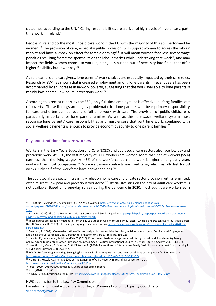outcomes, according to the UN.<sup>26</sup> Caring responsibilities are a driver of high levels of involuntary, parttime work in Ireland.<sup>27</sup>

People in Ireland do the most unpaid care work in the EU with the majority of this still performed by women.<sup>28</sup> The provision of care, especially public provision, will support women to access the labour market and have a knock-on effect for female earnings<sup>29</sup>. It will mean women face less severe wage penalties resulting from time spent outside the labour market while undertaking care work $^{30}$ , and may impact the fields women choose to work in, being less pushed out of necessity into fields that offer higher flexibility but lower pay.<sup>31</sup>

As sole earners and caregivers, lone parents' work choices are especially impacted by their care roles. Research by SVP has shown that increased employment among lone parents in recent years has been accompanied by an increase in in-work poverty, suggesting that the work available to lone parents is mainly low income, low hours, precarious work.<sup>32</sup>

According to a recent report by the ESRI, only full-time employment is effective in lifting families out of poverty. These findings are hugely problematic for lone parents who bear primary responsibility for care and often cannot reconcile full time work with care. The provision of public childcare is particularly important for lone parent families. As well as this, the social welfare system must recognise lone parents' care responsibilities and must ensure that part time work, combined with social welfare payments is enough to provide economic security to one parent families.<sup>33</sup>

#### **Pay and conditions for care workers**

Workers in the Early Years Education and Care (ECEC) and adult social care sectors also face low pay and precarious work. At 98%, the vast majority of ECEC workers are women. More than half of workers (55%) earn less than the living wage.<sup>34</sup> At 45% of the workforce, part-time work is higher among early years workers than most occupations.<sup>35</sup> Moreover, many contracts are fixed term, which usually last for 38 weeks. Only half of the workforce have permanent jobs.<sup>36</sup>

The adult social care sector increasingly relies on home care and private sector provision, with a feminised, often migrant, low paid and precarious workforce.<sup>37</sup> Official statistics on the pay of adult care workers is not available. Based on a one-day survey during the pandemic in 2020, most adult care workers earn

<https://www.esri.ie/system/files/publications/RS121.pdf>

<sup>35</sup> NERI (2020), in NWC

 $\overline{a}$ 

NWC submission to the Low Pay Commission.

<sup>26</sup> UN (2020a) *Policy Brief: The Impact of COVID-19 on Women.* [https://www.un.org/sexualviolenceinconflict](https://www.un.org/sexualviolenceinconflict /wp-content/uploads/2020/06/report/policy-brief-the-impact-of-COVID-19-on-women/policy-brief-the-impact-of-COVID-19-on-women-en-1.pdf) /wp[content/uploads/2020/06/report/policy-brief-the-impact-of-COVID-19-on-women/policy-brief-the-impact-of-COVID-19-on-women-en-](https://www.un.org/sexualviolenceinconflict /wp-content/uploads/2020/06/report/policy-brief-the-impact-of-COVID-19-on-women/policy-brief-the-impact-of-COVID-19-on-women-en-1.pdf)[1.pdf.](https://www.un.org/sexualviolenceinconflict /wp-content/uploads/2020/06/report/policy-brief-the-impact-of-COVID-19-on-women/policy-brief-the-impact-of-COVID-19-on-women-en-1.pdf) 

<sup>&</sup>lt;sup>27</sup> Barry, U. (2021). The Care Economy, Covid-19 Recovery and Gender Equality[. https://publicpolicy.ie/perspectives/the-care-economy](https://publicpolicy.ie/perspectives/the-care-economy-covid-19-recovery-and-gender-equality-a-summary-report/)[covid-19-recovery-and-gender-equality-a-summary-report/](https://publicpolicy.ie/perspectives/the-care-economy-covid-19-recovery-and-gender-equality-a-summary-report/)

<sup>&</sup>lt;sup>28</sup> These figures are based on microdata from the 2016 European Quality of Life Survey (EQLS), which is undertaken every four years across the EU. Sweeney, R. (2020). Cherishing all equally: the care economy[. https://www.tasc.ie/publications/cherishing-all-equally-2020-the](https://www.tasc.ie/publications/cherishing-all-equally-2020-the-care-economy/)[care-economy/](https://www.tasc.ie/publications/cherishing-all-equally-2020-the-care-economy/)

 $^{29}$  Freeman, R. (2007). 'Can marketization of household production explain the jobs.', in Salverda et al. (eds.) Services and Employment: Explaining the US-European Gap, Oxfordshire: Princeton University Press, pp. 198-216

<sup>30</sup> Halldén, K., Levanon, A., & Kricheli-Katz, T. (2016). Does the motherhood wage penalty differ by individual skill and country family policy? A longitudinal study of ten European countries. Social Politics: International Studies in Gender, State & Society, 23(3), 363-388. 31 Valentino, L., Moller, S., Stearns, E., & Mickelson, R. (2016). Perceptions of future career family flexibility as a deterrent from majoring in STEM. Social Currents, 3(3), 273-292.

<sup>32</sup> SVP (2019) 'Working, Parenting, Struggling? An analysis of the employment and living conditions of one parent families in Ireland.' https://issuu.com/svp15/docs/working parenting and struggling- /1?e=25010855/71456122

<sup>33</sup> Maître, B., Russel, H., Smyth, E. (2021). The Dynamics of Child Poverty in Ireland: Evidence from GUI.

 $34$  Pobal (2020). 2019/2020 Annual early years sector profile report.

<sup>36</sup> NWC (2022). Submission to the COTW[. https://www.nwci.ie/images/uploads/COTW\\_NWC\\_submission\\_Jan\\_2022\\_2.pdf](https://www.nwci.ie/images/uploads/COTW_NWC_submission_Jan_2022_2.pdf)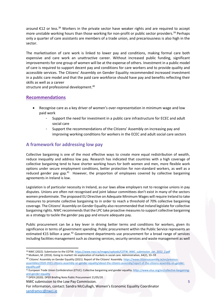around €12 or less.<sup>38</sup> Workers in the private sector have weaker rights and are required to accept more unstable working hours than those working for non-profit or public sector providers.<sup>39</sup> Perhaps only a quarter of care assistants are members of a trade union, and precariousness is also high in the sector.

The marketisation of care work is linked to lower pay and conditions, making formal care both expensive and care work an unattractive career. Without increased public funding, significant improvements for one group of women will be at the expense of others. Investment in a public model of care is required to support decent pay and conditions for care workers and to provide quality and accessible services. The Citizens' Assembly on Gender Equality recommended increased investment in a public care model and that the paid care workforce should have pay and benefits reflecting their skills as well as a career

structure and professional development. 40

# **Recommendations**

- Recognise care as a key driver of women's over-representation in minimum wage and low paid work
	- Support the need for investment in a public care infrastructure for ECEC and adult social care
	- Support the recommendations of the Citizens' Assembly on increasing pay and improving working conditions for workers in the ECEC and adult social care sectors

# **A framework for addressing low pay**

Collective bargaining is one of the most effective ways to create more equal redistribution of wealth, reduce inequality and address low pay. Research has indicated that countries with a high coverage of collective bargaining tend to have shorter working hours for both women and men, more flexible work options under secure employment conditions, better protection for non-standard workers, as well as a reduced gender pay gap.<sup>41</sup> However, the proportion of employees covered by collective bargaining agreements in Ireland is low.

Legislation is of particular necessity in Ireland, as our laws allow employers not to recognise unions in pay disputes. Unions are often not recognised and joint labour committees don't exist in many of the sectors women predominate. The proposed EU Directive on Adequate Minimum Wages will require Ireland to take measures to promote collective bargaining to in order to reach a threshold of 70% collective bargaining coverage. The Citizens' Assembly on Gender Equality also recommended that Ireland legislate for collective bargaining rights. NWC recommends that the LPC take proactive measures to support collective bargaining as a strategy to tackle the gender pay gap and ensure adequate pay.

Public procurement can be a key lever in driving better terms and conditions for workers, given its significance in terms of government spending. Public procurement within the Public Service represents an estimated €15 billion a year.<sup>42</sup> Government departments use procurement for a broad range of services including facilities management such as cleaning services, security services and waste management as well

- <sup>42</sup> DPER (2020). DPER Briefing Note Public Procurement 21/05/20
- NWC submission to the Low Pay Commission.

 $\overline{a}$ 38 NWC (2022). Submission to the COTW[. https://www.nwci.ie/images/uploads/COTW\\_NWC\\_submission\\_Jan\\_2022\\_2.pdf](https://www.nwci.ie/images/uploads/COTW_NWC_submission_Jan_2022_2.pdf)

<sup>39</sup> Mulkeen, M. (2016). Going to market! An exploration of markets in social care. Administration, 64(2), 33–59

<sup>&</sup>lt;sup>40</sup> Citizens' Assembly on Gender Equality (2021). Report of the Citizens' Assembly. [https://www.citizensassembly.ie/en/previous](https://www.citizensassembly.ie/en/previous-assemblies/2020-2021-citizens-assembly-on-gender-equality/about-the-citizens-assembly/report-of-the-citizens-assembly-on-gender-equality.pdf)[assemblies/2020-2021-citizens-assembly-on-gender-equality/about-the-citizens-assembly/report-of-the-citizens-assembly-on-gender](https://www.citizensassembly.ie/en/previous-assemblies/2020-2021-citizens-assembly-on-gender-equality/about-the-citizens-assembly/report-of-the-citizens-assembly-on-gender-equality.pdf)[equality.pdf](https://www.citizensassembly.ie/en/previous-assemblies/2020-2021-citizens-assembly-on-gender-equality/about-the-citizens-assembly/report-of-the-citizens-assembly-on-gender-equality.pdf)

<sup>41</sup> European Trade Union Confederation (ETUC). Collective bargaining and gender equality. [https://www.etuc.org/en/collective-bargaining](https://www.etuc.org/en/collective-bargaining-and-gender-equality)[and-gender-equality](https://www.etuc.org/en/collective-bargaining-and-gender-equality)